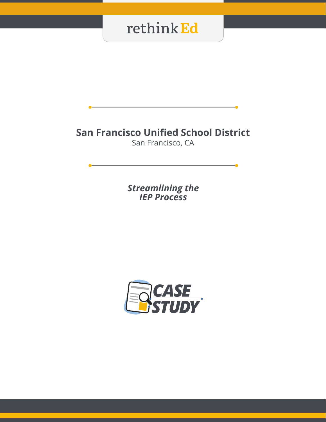### **San Francisco Unified School District**

San Francisco, CA

*Streamlining the IEP Process*

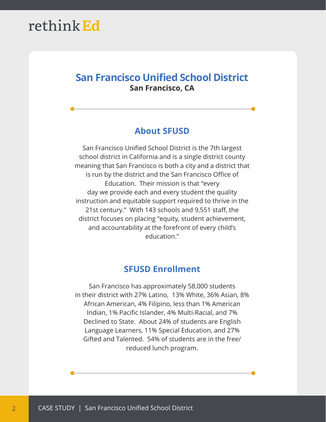### **San Francisco Unified School District San Francisco, CA**

#### **About SFUSD**

San Francisco Unified School District is the 7th largest school district in California and is a single district county meaning that San Francisco is both a city and a district that is run by the district and the San Francisco Office of Education. Their mission is that "every day we provide each and every student the quality instruction and equitable support required to thrive in the 21st century." With 143 schools and 9,551 staff, the district focuses on placing "equity, student achievement, and accountability at the forefront of every child's education."

#### **SFUSD Enrollment**

San Francisco has approximately 58,000 students in their district with 27% Latino, 13% White, 36% Asian, 8% African American, 4% Filipino, less than 1% American Indian, 1% Pacific Islander, 4% Multi-Racial, and 7% Declined to State. About 24% of students are English Language Learners, 11% Special Education, and 27% Gifted and Talented. 54% of students are in the free/ reduced lunch program.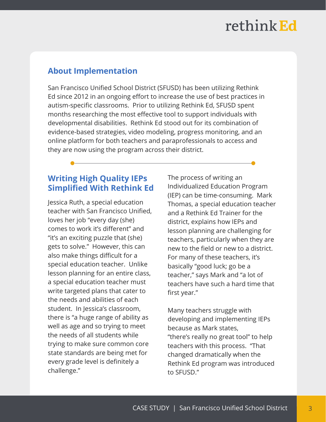### **About Implementation**

San Francisco Unified School District (SFUSD) has been utilizing Rethink Ed since 2012 in an ongoing effort to increase the use of best practices in autism-specific classrooms. Prior to utilizing Rethink Ed, SFUSD spent months researching the most effective tool to support individuals with developmental disabilities. Rethink Ed stood out for its combination of evidence-based strategies, video modeling, progress monitoring, and an online platform for both teachers and paraprofessionals to access and they are now using the program across their district.

#### **Writing High Quality IEPs Simplified With Rethink Ed**

Jessica Ruth, a special education teacher with San Francisco Unified, loves her job "every day (she) comes to work it's different" and "it's an exciting puzzle that (she) gets to solve." However, this can also make things difficult for a special education teacher. Unlike lesson planning for an entire class, a special education teacher must write targeted plans that cater to the needs and abilities of each student. In Jessica's classroom, there is "a huge range of ability as well as age and so trying to meet the needs of all students while trying to make sure common core state standards are being met for every grade level is definitely a challenge."

The process of writing an Individualized Education Program (IEP) can be time-consuming. Mark Thomas, a special education teacher and a Rethink Ed Trainer for the district, explains how IEPs and lesson planning are challenging for teachers, particularly when they are new to the field or new to a district. For many of these teachers, it's basically "good luck; go be a teacher," says Mark and "a lot of teachers have such a hard time that first year."

Many teachers struggle with developing and implementing IEPs because as Mark states, "there's really no great tool" to help teachers with this process. "That changed dramatically when the Rethink Ed program was introduced to SFUSD."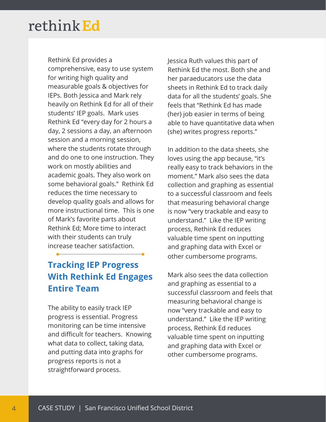Rethink Ed provides a comprehensive, easy to use system for writing high quality and measurable goals & objectives for IEPs. Both Jessica and Mark rely heavily on Rethink Ed for all of their students' IEP goals. Mark uses Rethink Ed "every day for 2 hours a day, 2 sessions a day, an afternoon session and a morning session, where the students rotate through and do one to one instruction. They work on mostly abilities and academic goals. They also work on some behavioral goals." Rethink Ed reduces the time necessary to develop quality goals and allows for more instructional time. This is one of Mark's favorite parts about Rethink Ed; More time to interact with their students can truly increase teacher satisfaction.

### **Tracking IEP Progress With Rethink Ed Engages Entire Team**

The ability to easily track IEP progress is essential. Progress monitoring can be time intensive and difficult for teachers. Knowing what data to collect, taking data, and putting data into graphs for progress reports is not a straightforward process.

Jessica Ruth values this part of Rethink Ed the most. Both she and her paraeducators use the data sheets in Rethink Ed to track daily data for all the students' goals. She feels that "Rethink Ed has made (her) job easier in terms of being able to have quantitative data when (she) writes progress reports."

In addition to the data sheets, she loves using the app because, "it's really easy to track behaviors in the moment." Mark also sees the data collection and graphing as essential to a successful classroom and feels that measuring behavioral change is now "very trackable and easy to understand." Like the IEP writing process, Rethink Ed reduces valuable time spent on inputting and graphing data with Excel or other cumbersome programs.

Mark also sees the data collection and graphing as essential to a successful classroom and feels that measuring behavioral change is now "very trackable and easy to understand." Like the IEP writing process, Rethink Ed reduces valuable time spent on inputting and graphing data with Excel or other cumbersome programs.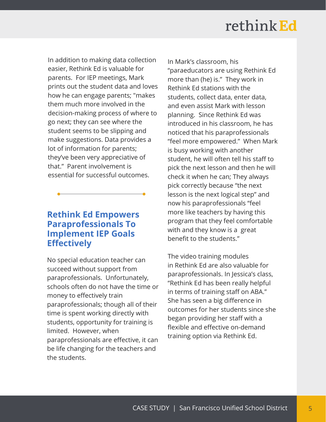In addition to making data collection easier, Rethink Ed is valuable for parents. For IEP meetings, Mark prints out the student data and loves how he can engage parents; "makes them much more involved in the decision-making process of where to go next; they can see where the student seems to be slipping and make suggestions. Data provides a lot of information for parents; they've been very appreciative of that." Parent involvement is essential for successful outcomes.

### **Rethink Ed Empowers Paraprofessionals To Implement IEP Goals Effectively**

No special education teacher can succeed without support from paraprofessionals. Unfortunately, schools often do not have the time or money to effectively train paraprofessionals; though all of their time is spent working directly with students, opportunity for training is limited. However, when paraprofessionals are effective, it can be life changing for the teachers and the students.

In Mark's classroom, his "paraeducators are using Rethink Ed more than (he) is." They work in Rethink Ed stations with the students, collect data, enter data, and even assist Mark with lesson planning. Since Rethink Ed was introduced in his classroom, he has noticed that his paraprofessionals "feel more empowered." When Mark is busy working with another student, he will often tell his staff to pick the next lesson and then he will check it when he can; They always pick correctly because "the next lesson is the next logical step" and now his paraprofessionals "feel more like teachers by having this program that they feel comfortable with and they know is a great benefit to the students."

The video training modules in Rethink Ed are also valuable for paraprofessionals. In Jessica's class, "Rethink Ed has been really helpful in terms of training staff on ABA." She has seen a big difference in outcomes for her students since she began providing her staff with a flexible and effective on-demand training option via Rethink Ed.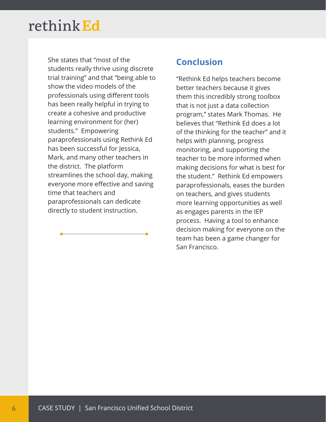She states that "most of the students really thrive using discrete trial training" and that "being able to show the video models of the professionals using different tools has been really helpful in trying to create a cohesive and productive learning environment for (her) students." Empowering paraprofessionals using Rethink Ed has been successful for Jessica, Mark, and many other teachers in the district. The platform streamlines the school day, making everyone more effective and saving time that teachers and paraprofessionals can dedicate directly to student instruction.

### **Conclusion**

"Rethink Ed helps teachers become better teachers because it gives them this incredibly strong toolbox that is not just a data collection program," states Mark Thomas. He believes that "Rethink Ed does a lot of the thinking for the teacher" and it helps with planning, progress monitoring, and supporting the teacher to be more informed when making decisions for what is best for the student." Rethink Ed empowers paraprofessionals, eases the burden on teachers, and gives students more learning opportunities as well as engages parents in the IEP process. Having a tool to enhance decision making for everyone on the team has been a game changer for San Francisco.